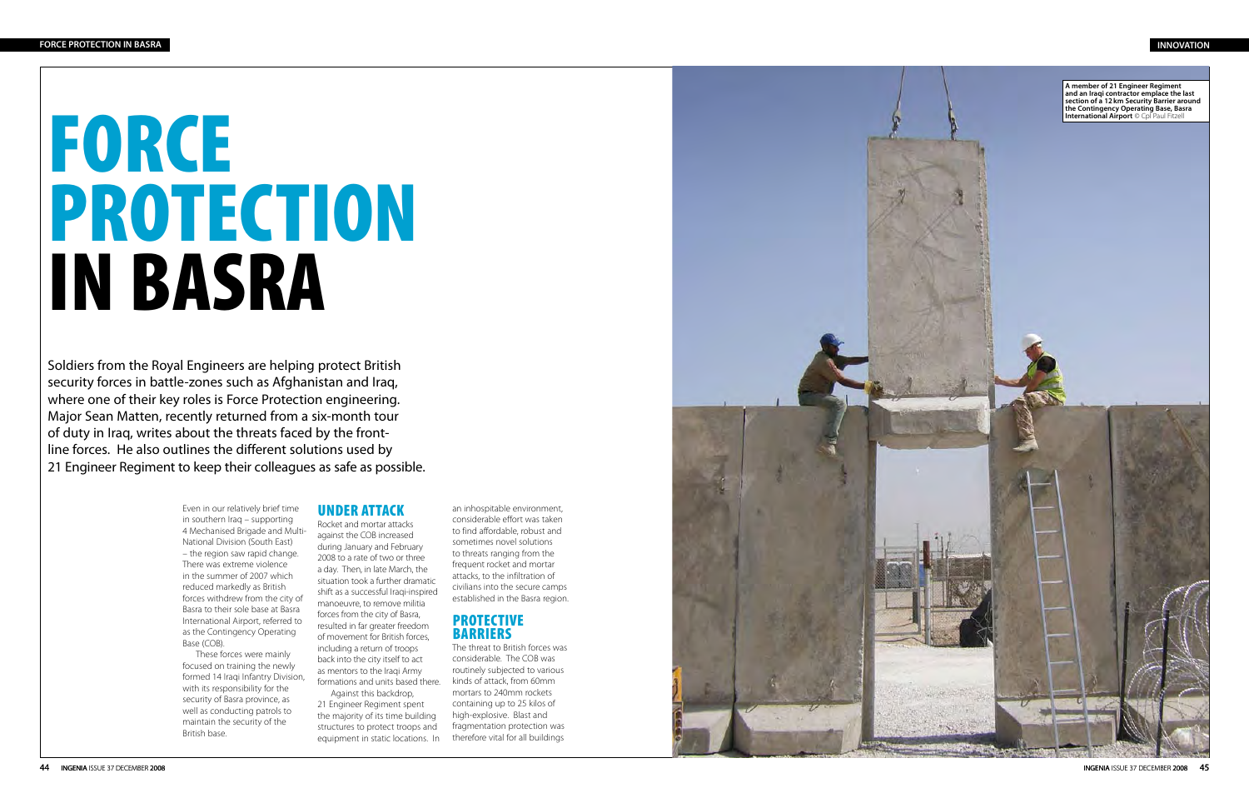# FORCE PROTECTION IN BASRA

Soldiers from the Royal Engineers are helping protect British security forces in battle-zones such as Afghanistan and Iraq, where one of their key roles is Force Protection engineering. Major Sean Matten, recently returned from a six-month tour of duty in Iraq, writes about the threats faced by the frontline forces. He also outlines the different solutions used by 21 Engineer Regiment to keep their colleagues as safe as possible.

> Even in our relatively brief time in southern Iraq – supporting 4 Mechanised Brigade and Multi-National Division (South East) – the region saw rapid change. There was extreme violence in the summer of 2007 which reduced markedly as British forces withdrew from the city of Basra to their sole base at Basra International Airport, referred to as the Contingency Operating Base (COB).

These forces were mainly focused on training the newly formed 14 Iraqi Infantry Division, with its responsibility for the security of Basra province, as well as conducting patrols to maintain the security of the British base.

# **UNDER A**

Rocket and mortar attacks against the COB increased during January and February 2008 to a rate of two or three a day. Then, in late March, the situation took a further dramatic shift as a successful Iraqi-inspired manoeuvre, to remove militia forces from the city of Basra, resulted in far greater freedom of movement for British forces, including a return of troops back into the city itself to act as mentors to the Iraqi Army formations and units based there.

Against this backdrop, 21 Engineer Regiment spent the majority of its time building structures to protect troops and equipment in static locations. In

an inhospitable environment, considerable effort was taken to find affordable, robust and sometimes novel solutions to threats ranging from the frequent rocket and mortar attacks, to the infiltration of civilians into the secure camps established in the Basra region.

# **PROTECTIVE BARRIERS**

The threat to British forces was considerable. The COB was routinely subjected to various kinds of attack, from 60mm mortars to 240mm rockets containing up to 25 kilos of high-explosive. Blast and fragmentation protection was therefore vital for all buildings

# **INNOVATION**

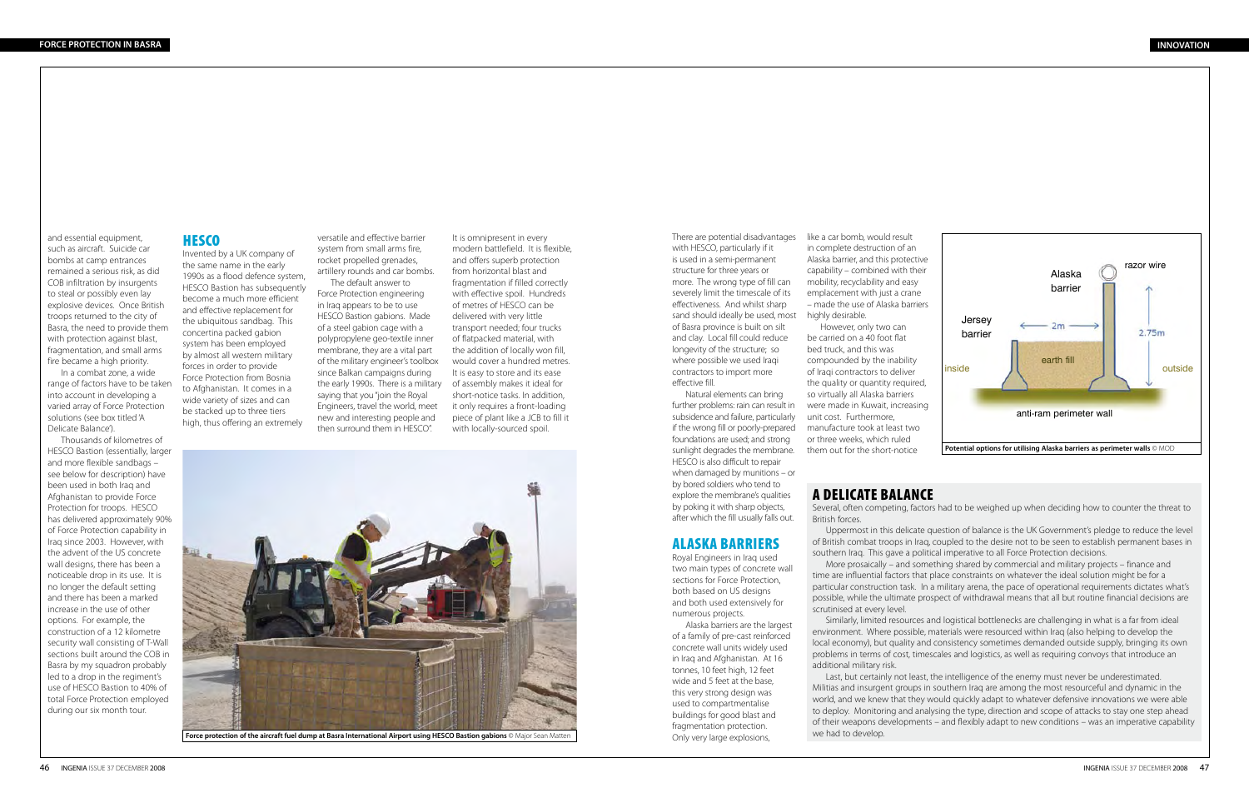and essential equipment, such as aircraft. Suicide car bombs at camp entrances remained a serious risk, as did COB infiltration by insurgents to steal or possibly even lay explosive devices. Once British troops returned to the city of Basra, the need to provide them with protection against blast, fragmentation, and small arms fire became a high priority.

In a combat zone, a wide range of factors have to be taken into account in developing a varied array of Force Protection solutions (see box titled 'A Delicate Balance').

Thousands of kilometres of HESCO Bastion (essentially, larger and more flexible sandbags – see below for description) have been used in both Iraq and Afghanistan to provide Force Protection for troops. HESCO has delivered approximately 90% of Force Protection capability in Iraq since 2003. However, with the advent of the US concrete wall designs, there has been a noticeable drop in its use. It is no longer the default setting and there has been a marked increase in the use of other options. For example, the construction of a 12 kilometre security wall consisting of T-Wall sections built around the COB in Basra by my squadron probably led to a drop in the regiment's use of HESCO Bastion to 40% of total Force Protection employed during our six month tour.

# **HESCO**

Invented by a UK company of the same name in the early 1990s as a flood defence system, HESCO Bastion has subsequently become a much more efficient and effective replacement for the ubiquitous sandbag. This concertina packed gabion system has been employed by almost all western military forces in order to provide Force Protection from Bosnia to Afghanistan. It comes in a wide variety of sizes and can be stacked up to three tiers high, thus offering an extremely

versatile and effective barrier system from small arms fire, rocket propelled grenades, artillery rounds and car bombs.

The default answer to Force Protection engineering in Iraq appears to be to use HESCO Bastion gabions. Made of a steel gabion cage with a polypropylene geo-textile inner membrane, they are a vital part of the military engineer's toolbox since Balkan campaigns during the early 1990s. There is a military of assembly makes it ideal for saying that you "join the Royal Engineers, travel the world, meet new and interesting people and then surround them in HESCO".

It is omnipresent in every modern battlefield. It is flexible, and offers superb protection from horizontal blast and fragmentation if filled correctly with effective spoil. Hundreds of metres of HESCO can be delivered with very little transport needed; four trucks of flatpacked material, with the addition of locally won fill, would cover a hundred metres. It is easy to store and its ease short-notice tasks. In addition, it only requires a front-loading piece of plant like a JCB to fill it with locally-sourced spoil.

![](_page_1_Picture_9.jpeg)

**Force protection of the aircraft fuel dump at Basra International Airport using HESCO Bastion gabions** © Major Sean Matten

There are potential disadvantages with HESCO, particularly if it is used in a semi-permanent structure for three years or more. The wrong type of fill can severely limit the timescale of its effectiveness. And whilst sharp sand should ideally be used, most highly desirable. of Basra province is built on silt and clay. Local fill could reduce longevity of the structure; so where possible we used Iraqi contractors to import more effective fill.

Natural elements can bring further problems: rain can result in subsidence and failure, particularly if the wrong fill or poorly-prepared foundations are used; and strong sunlight degrades the membrane. HESCO is also difficult to repair when damaged by munitions – or by bored soldiers who tend to explore the membrane's qualities by poking it with sharp objects, after which the fill usually falls out.

# Alaska barriers

Royal Engineers in Iraq used two main types of concrete wall sections for Force Protection, both based on US designs and both used extensively for numerous projects.

Alaska barriers are the largest of a family of pre-cast reinforced concrete wall units widely used in Iraq and Afghanistan. At 16 tonnes, 10 feet high, 12 feet wide and 5 feet at the base, this very strong design was used to compartmentalise buildings for good blast and fragmentation protection. Only very large explosions,

like a car bomb, would result in complete destruction of an Alaska barrier, and this protective capability – combined with their mobility, recyclability and easy emplacement with just a crane – made the use of Alaska barriers

However, only two can be carried on a 40 foot flat bed truck, and this was compounded by the inability of Iraqi contractors to deliver the quality or quantity required. so virtually all Alaska barriers were made in Kuwait, increasing unit cost. Furthermore, manufacture took at least two or three weeks, which ruled them out for the short-notice

# A delicate balance

Several, often competing, factors had to be weighed up when deciding how to counter the threat to British forces. Uppermost in this delicate question of balance is the UK Government's pledge to reduce the level of British combat troops in Iraq, coupled to the desire not to be seen to establish permanent bases in southern Iraq. This gave a political imperative to all Force Protection decisions.

More prosaically – and something shared by commercial and military projects – finance and time are influential factors that place constraints on whatever the ideal solution might be for a particular construction task. In a military arena, the pace of operational requirements dictates what's possible, while the ultimate prospect of withdrawal means that all but routine financial decisions are scrutinised at every level.

Similarly, limited resources and logistical bottlenecks are challenging in what is a far from ideal environment. Where possible, materials were resourced within Iraq (also helping to develop the local economy), but quality and consistency sometimes demanded outside supply, bringing its own problems in terms of cost, timescales and logistics, as well as requiring convoys that introduce an additional military risk. Last, but certainly not least, the intelligence of the enemy must never be underestimated. Militias and insurgent groups in southern Iraq are among the most resourceful and dynamic in the world, and we knew that they would quickly adapt to whatever defensive innovations we were able to deploy. Monitoring and analysing the type, direction and scope of attacks to stay one step ahead of their weapons developments – and flexibly adapt to new conditions – was an imperative capability we had to develop.

![](_page_1_Figure_24.jpeg)